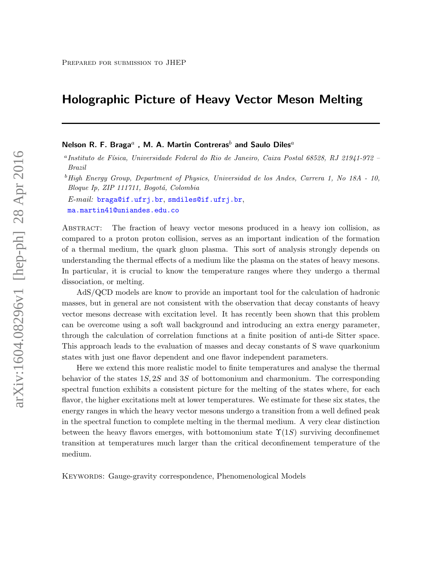# Holographic Picture of Heavy Vector Meson Melting

Nelson R. F. Braga $^a$  , M. A. Martin Contreras $^b$  and Saulo Diles $^a$ 

<sup>a</sup> Instituto de Física, Universidade Federal do Rio de Janeiro, Caixa Postal 68528, RJ 21941-972 -Brazil

 ${}^{b}$ High Energy Group, Department of Physics, Universidad de los Andes, Carrera 1, No 18A - 10, Bloque Ip, ZIP 111711, Bogotá, Colombia

 $E-mail:$  [braga@if.ufrj.br](mailto:braga@if.ufrj.br), [smdiles@if.ufrj.br](mailto:smdiles@if.ufrj.br), [ma.martin41@uniandes.edu.co](mailto:ma.martin41@uniandes.edu.co)

Abstract: The fraction of heavy vector mesons produced in a heavy ion collision, as compared to a proton proton collision, serves as an important indication of the formation of a thermal medium, the quark gluon plasma. This sort of analysis strongly depends on understanding the thermal effects of a medium like the plasma on the states of heavy mesons. In particular, it is crucial to know the temperature ranges where they undergo a thermal dissociation, or melting.

AdS/QCD models are know to provide an important tool for the calculation of hadronic masses, but in general are not consistent with the observation that decay constants of heavy vector mesons decrease with excitation level. It has recently been shown that this problem can be overcome using a soft wall background and introducing an extra energy parameter, through the calculation of correlation functions at a finite position of anti-de Sitter space. This approach leads to the evaluation of masses and decay constants of S wave quarkonium states with just one flavor dependent and one flavor independent parameters.

Here we extend this more realistic model to finite temperatures and analyse the thermal behavior of the states  $1S$ ,  $2S$  and  $3S$  of bottomonium and charmonium. The corresponding spectral function exhibits a consistent picture for the melting of the states where, for each flavor, the higher excitations melt at lower temperatures. We estimate for these six states, the energy ranges in which the heavy vector mesons undergo a transition from a well defined peak in the spectral function to complete melting in the thermal medium. A very clear distinction between the heavy flavors emerges, with bottomonium state  $\Upsilon(1S)$  surviving deconfinemet transition at temperatures much larger than the critical deconfinement temperature of the medium.

KEYWORDS: Gauge-gravity correspondence, Phenomenological Models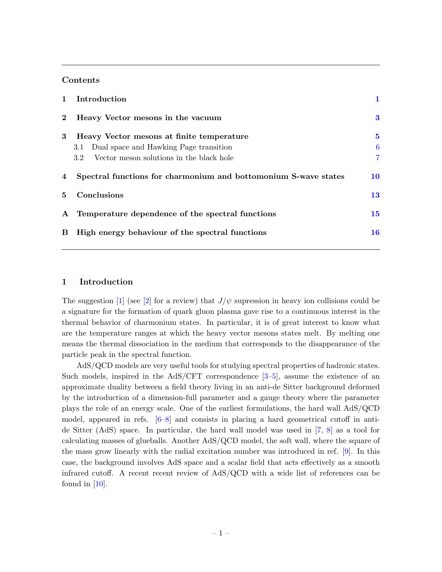### Contents

| $\mathbf{1}$ | Introduction                                                    |                |
|--------------|-----------------------------------------------------------------|----------------|
| $\mathbf{2}$ | Heavy Vector mesons in the vacuum                               | $\bf{3}$       |
| 3            | Heavy Vector mesons at finite temperature                       | 5              |
|              | Dual space and Hawking Page transition<br>3.1                   | 6              |
|              | Vector meson solutions in the black hole<br>3.2 <sub>1</sub>    | $\overline{7}$ |
| 4            | Spectral functions for charmonium and bottomonium S-wave states | 10             |
| 5.           | Conclusions                                                     | 13             |
| $\mathbf{A}$ | Temperature dependence of the spectral functions                | 15             |
| B            | High energy behaviour of the spectral functions                 | 16             |

#### <span id="page-1-0"></span>1 Introduction

The suggestion [\[1\]](#page-17-0) (see [\[2\]](#page-17-1) for a review) that  $J/\psi$  supression in heavy ion collisions could be a signature for the formation of quark gluon plasma gave rise to a continuous interest in the thermal behavior of charmonium states. In particular, it is of great interest to know what are the temperature ranges at which the heavy vector mesons states melt. By melting one means the thermal dissociation in the medium that corresponds to the disappearance of the particle peak in the spectral function.

AdS/QCD models are very useful tools for studying spectral properties of hadronic states. Such models, inspired in the  $AdS/CFT$  correspondence  $[3-5]$  $[3-5]$ , assume the existence of an approximate duality between a field theory living in an anti-de Sitter background deformed by the introduction of a dimension-full parameter and a gauge theory where the parameter plays the role of an energy scale. One of the earliest formulations, the hard wall AdS/QCD model, appeared in refs.  $[6-8]$  $[6-8]$  and consists in placing a hard geometrical cutoff in antide Sitter (AdS) space. In particular, the hard wall model was used in [\[7,](#page-17-6) [8\]](#page-17-5) as a tool for calculating masses of glueballs. Another AdS/QCD model, the soft wall, where the square of the mass grow linearly with the radial excitation number was introduced in ref. [\[9\]](#page-17-7). In this case, the background involves AdS space and a scalar field that acts effectively as a smooth infrared cutoff. A recent recent review of AdS/QCD with a wide list of references can be found in  $[10]$ .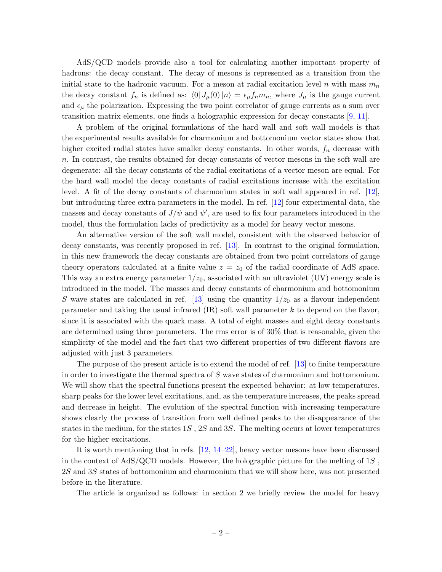AdS/QCD models provide also a tool for calculating another important property of hadrons: the decay constant. The decay of mesons is represented as a transition from the initial state to the hadronic vacuum. For a meson at radial excitation level n with mass  $m_n$ the decay constant  $f_n$  is defined as:  $\langle 0| J_\mu(0)|n \rangle = \epsilon_\mu f_n m_n$ , where  $J_\mu$  is the gauge current and  $\epsilon_{\mu}$  the polarization. Expressing the two point correlator of gauge currents as a sum over transition matrix elements, one finds a holographic expression for decay constants [\[9,](#page-17-7) [11\]](#page-17-9).

A problem of the original formulations of the hard wall and soft wall models is that the experimental results available for charmonium and bottomonium vector states show that higher excited radial states have smaller decay constants. In other words,  $f_n$  decrease with n. In contrast, the results obtained for decay constants of vector mesons in the soft wall are degenerate: all the decay constants of the radial excitations of a vector meson are equal. For the hard wall model the decay constants of radial excitations increase with the excitation level. A fit of the decay constants of charmonium states in soft wall appeared in ref. [\[12\]](#page-17-10), but introducing three extra parameters in the model. In ref. [\[12\]](#page-17-10) four experimental data, the masses and decay constants of  $J/\psi$  and  $\psi'$ , are used to fix four parameters introduced in the model, thus the formulation lacks of predictivity as a model for heavy vector mesons.

An alternative version of the soft wall model, consistent with the observed behavior of decay constants, was recently proposed in ref. [\[13\]](#page-17-11). In contrast to the original formulation, in this new framework the decay constants are obtained from two point correlators of gauge theory operators calculated at a finite value  $z = z_0$  of the radial coordinate of AdS space. This way an extra energy parameter  $1/z_0$ , associated with an ultraviolet (UV) energy scale is introduced in the model. The masses and decay constants of charmonium and bottomonium S wave states are calculated in ref. [\[13\]](#page-17-11) using the quantity  $1/z_0$  as a flavour independent parameter and taking the usual infrared  $(IR)$  soft wall parameter k to depend on the flavor, since it is associated with the quark mass. A total of eight masses and eight decay constants are determined using three parameters. The rms error is of 30% that is reasonable, given the simplicity of the model and the fact that two different properties of two different flavors are adjusted with just 3 parameters.

The purpose of the present article is to extend the model of ref. [\[13\]](#page-17-11) to finite temperature in order to investigate the thermal spectra of S wave states of charmonium and bottomonium. We will show that the spectral functions present the expected behavior: at low temperatures, sharp peaks for the lower level excitations, and, as the temperature increases, the peaks spread and decrease in height. The evolution of the spectral function with increasing temperature shows clearly the process of transition from well defined peaks to the disappearance of the states in the medium, for the states  $1S$ ,  $2S$  and  $3S$ . The melting occurs at lower temperatures for the higher excitations.

It is worth mentioning that in refs. [\[12,](#page-17-10) [14–](#page-17-12)[22\]](#page-18-0), heavy vector mesons have been discussed in the context of  $AdS/QCD$  models. However, the holographic picture for the melting of 1S, 2S and 3S states of bottomonium and charmonium that we will show here, was not presented before in the literature.

The article is organized as follows: in section 2 we briefly review the model for heavy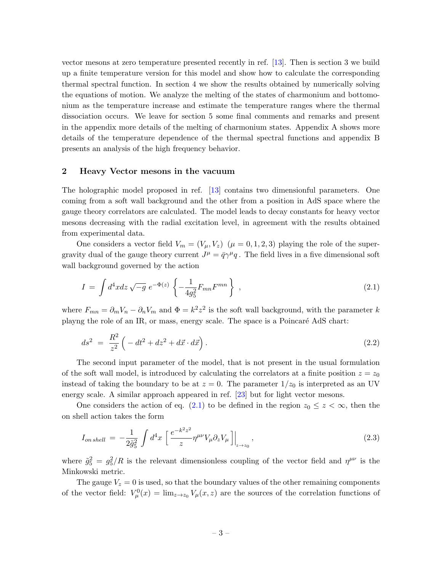vector mesons at zero temperature presented recently in ref. [\[13\]](#page-17-11). Then is section 3 we build up a finite temperature version for this model and show how to calculate the corresponding thermal spectral function. In section 4 we show the results obtained by numerically solving the equations of motion. We analyze the melting of the states of charmonium and bottomonium as the temperature increase and estimate the temperature ranges where the thermal dissociation occurs. We leave for section 5 some final comments and remarks and present in the appendix more details of the melting of charmonium states. Appendix A shows more details of the temperature dependence of the thermal spectral functions and appendix B presents an analysis of the high frequency behavior.

# <span id="page-3-0"></span>2 Heavy Vector mesons in the vacuum

The holographic model proposed in ref. [\[13\]](#page-17-11) contains two dimensionful parameters. One coming from a soft wall background and the other from a position in AdS space where the gauge theory correlators are calculated. The model leads to decay constants for heavy vector mesons decreasing with the radial excitation level, in agreement with the results obtained from experimental data.

One considers a vector field  $V_m = (V_\mu, V_z)$   $(\mu = 0, 1, 2, 3)$  playing the role of the supergravity dual of the gauge theory current  $J^{\mu} = \bar{q}\gamma^{\mu}q$ . The field lives in a five dimensional soft wall background governed by the action

<span id="page-3-1"></span>
$$
I = \int d^4x dz \sqrt{-g} \ e^{-\Phi(z)} \left\{ -\frac{1}{4g_5^2} F_{mn} F^{mn} \right\} , \qquad (2.1)
$$

where  $F_{mn} = \partial_m V_n - \partial_n V_m$  and  $\Phi = k^2 z^2$  is the soft wall background, with the parameter k playng the role of an IR, or mass, energy scale. The space is a Poincaré AdS chart:

$$
ds^2 = \frac{R^2}{z^2} \left( -dt^2 + dz^2 + d\vec{x} \cdot d\vec{x} \right).
$$
 (2.2)

The second input parameter of the model, that is not present in the usual formulation of the soft wall model, is introduced by calculating the correlators at a finite position  $z = z_0$ instead of taking the boundary to be at  $z = 0$ . The parameter  $1/z_0$  is interpreted as an UV energy scale. A similar approach appeared in ref. [\[23\]](#page-18-1) but for light vector mesons.

One considers the action of eq. [\(2.1\)](#page-3-1) to be defined in the region  $z_0 \leq z < \infty$ , then the on shell action takes the form

$$
I_{on\,shell} = -\frac{1}{2\tilde{g}_5^2} \int d^4x \left[ \frac{e^{-k^2 z^2}}{z} \eta^{\mu\nu} V_\mu \partial_z V_\mu \right] \Big|_{z \to z_0},\tag{2.3}
$$

where  $\tilde{g}_5^2 = g_5^2/R$  is the relevant dimensionless coupling of the vector field and  $\eta^{\mu\nu}$  is the Minkowski metric.

The gauge  $V_z = 0$  is used, so that the boundary values of the other remaining components of the vector field:  $V^0_\mu(x) = \lim_{z\to z_0} V_\mu(x, z)$  are the sources of the correlation functions of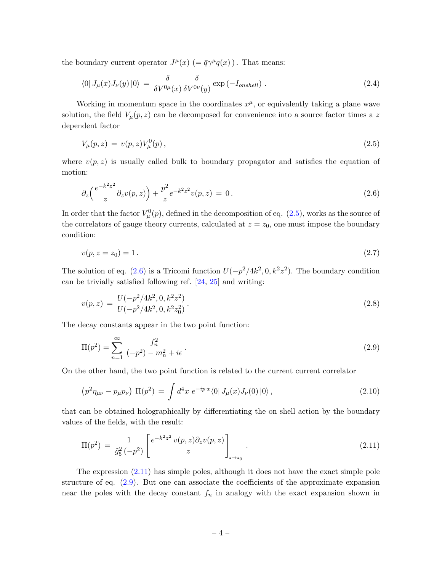the boundary current operator  $J^{\mu}(x)$  (=  $\bar{q}\gamma^{\mu}q(x)$ ). That means:

$$
\langle 0| J_{\mu}(x) J_{\nu}(y) |0 \rangle = \frac{\delta}{\delta V^{0\mu}(x)} \frac{\delta}{\delta V^{0\nu}(y)} \exp(-I_{\text{onshell}}) . \tag{2.4}
$$

Working in momentum space in the coordinates  $x^{\mu}$ , or equivalently taking a plane wave solution, the field  $V_\mu(p,z)$  can be decomposed for convenience into a source factor times a z dependent factor

<span id="page-4-0"></span>
$$
V_{\mu}(p,z) = v(p,z)V_{\mu}^{0}(p), \qquad (2.5)
$$

where  $v(p, z)$  is usually called bulk to boundary propagator and satisfies the equation of motion:

<span id="page-4-1"></span>
$$
\partial_z \left( \frac{e^{-k^2 z^2}}{z} \partial_z v(p, z) \right) + \frac{p^2}{z} e^{-k^2 z^2} v(p, z) = 0. \tag{2.6}
$$

In order that the factor  $V^0_\mu(p)$ , defined in the decomposition of eq. [\(2.5\)](#page-4-0), works as the source of the correlators of gauge theory currents, calculated at  $z = z_0$ , one must impose the boundary condition:

$$
v(p, z = z_0) = 1.
$$
\n(2.7)

The solution of eq. [\(2.6\)](#page-4-1) is a Tricomi function  $U(-p^2/4k^2, 0, k^2z^2)$ . The boundary condition can be trivially satisfied following ref. [\[24,](#page-18-2) [25\]](#page-18-3) and writing:

$$
v(p,z) = \frac{U(-p^2/4k^2, 0, k^2z^2)}{U(-p^2/4k^2, 0, k^2z_0^2)}.
$$
\n(2.8)

The decay constants appear in the two point function:

<span id="page-4-3"></span>
$$
\Pi(p^2) = \sum_{n=1}^{\infty} \frac{f_n^2}{(-p^2) - m_n^2 + i\epsilon}.
$$
\n(2.9)

On the other hand, the two point function is related to the current current correlator

$$
\left(p^2 \eta_{\mu\nu} - p_{\mu} p_{\nu}\right) \Pi(p^2) = \int d^4x \ e^{-ip \cdot x} \langle 0 | J_{\mu}(x) J_{\nu}(0) | 0 \rangle \,, \tag{2.10}
$$

that can be obtained holographically by differentiating the on shell action by the boundary values of the fields, with the result:

<span id="page-4-2"></span>
$$
\Pi(p^2) = \frac{1}{\tilde{g}_5^2(-p^2)} \left[ \frac{e^{-k^2 z^2} v(p, z) \partial_z v(p, z)}{z} \right]_{z \to z_0} .
$$
\n(2.11)

The expression  $(2.11)$  has simple poles, although it does not have the exact simple pole structure of eq. [\(2.9\)](#page-4-3). But one can associate the coefficients of the approximate expansion near the poles with the decay constant  $f_n$  in analogy with the exact expansion shown in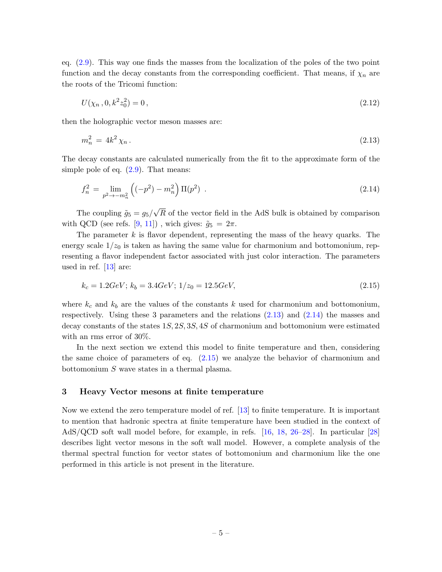eq. [\(2.9\)](#page-4-3). This way one finds the masses from the localization of the poles of the two point function and the decay constants from the corresponding coefficient. That means, if  $\chi_n$  are the roots of the Tricomi function:

<span id="page-5-1"></span>
$$
U(\chi_n, 0, k^2 z_0^2) = 0, \qquad (2.12)
$$

then the holographic vector meson masses are:

$$
m_n^2 = 4k^2 \chi_n \,. \tag{2.13}
$$

The decay constants are calculated numerically from the fit to the approximate form of the simple pole of eq.  $(2.9)$ . That means:

<span id="page-5-2"></span>
$$
f_n^2 = \lim_{p^2 \to -m_n^2} \left( (-p^2) - m_n^2 \right) \Pi(p^2) \tag{2.14}
$$

The coupling  $\tilde{g}_5 = g_5/$ √ R of the vector field in the AdS bulk is obtained by comparison with QCD (see refs. [\[9,](#page-17-7) [11\]](#page-17-9)), wich gives:  $\tilde{g}_5 = 2\pi$ .

The parameter  $k$  is flavor dependent, representing the mass of the heavy quarks. The energy scale  $1/z_0$  is taken as having the same value for charmonium and bottomonium, representing a flavor independent factor associated with just color interaction. The parameters used in ref. [\[13\]](#page-17-11) are:

<span id="page-5-3"></span>
$$
k_c = 1.2 GeV; k_b = 3.4 GeV; 1/z_0 = 12.5 GeV,
$$
\n
$$
(2.15)
$$

where  $k_c$  and  $k_b$  are the values of the constants k used for charmonium and bottomonium, respectively. Using these 3 parameters and the relations  $(2.13)$  and  $(2.14)$  the masses and decay constants of the states 1S, 2S, 3S, 4S of charmonium and bottomonium were estimated with an rms error of 30%.

In the next section we extend this model to finite temperature and then, considering the same choice of parameters of eq. [\(2.15\)](#page-5-3) we analyze the behavior of charmonium and bottomonium S wave states in a thermal plasma.

## <span id="page-5-0"></span>3 Heavy Vector mesons at finite temperature

Now we extend the zero temperature model of ref. [\[13\]](#page-17-11) to finite temperature. It is important to mention that hadronic spectra at finite temperature have been studied in the context of AdS/QCD soft wall model before, for example, in refs. [\[16,](#page-17-13) [18,](#page-17-14) [26–](#page-18-4)[28\]](#page-18-5). In particular [\[28\]](#page-18-5) describes light vector mesons in the soft wall model. However, a complete analysis of the thermal spectral function for vector states of bottomonium and charmonium like the one performed in this article is not present in the literature.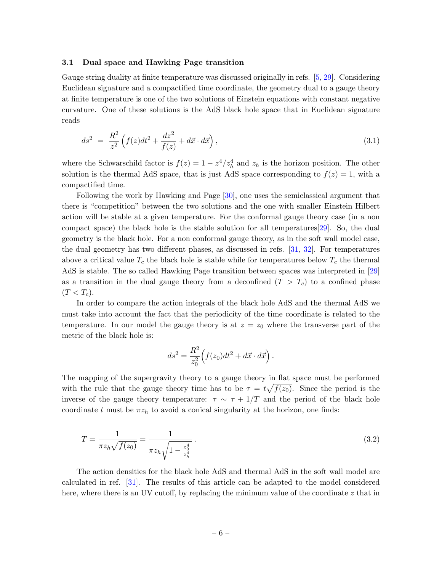#### <span id="page-6-0"></span>3.1 Dual space and Hawking Page transition

Gauge string duality at finite temperature was discussed originally in refs. [\[5,](#page-17-3) [29\]](#page-18-6). Considering Euclidean signature and a compactified time coordinate, the geometry dual to a gauge theory at finite temperature is one of the two solutions of Einstein equations with constant negative curvature. One of these solutions is the AdS black hole space that in Euclidean signature reads

<span id="page-6-2"></span>
$$
ds^{2} = \frac{R^{2}}{z^{2}} \left( f(z)dt^{2} + \frac{dz^{2}}{f(z)} + d\vec{x} \cdot d\vec{x} \right),
$$
\n(3.1)

where the Schwarschild factor is  $f(z) = 1 - z^4/z_h^4$  and  $z_h$  is the horizon position. The other solution is the thermal AdS space, that is just AdS space corresponding to  $f(z) = 1$ , with a compactified time.

Following the work by Hawking and Page [\[30\]](#page-18-7), one uses the semiclassical argument that there is "competition" between the two solutions and the one with smaller Einstein Hilbert action will be stable at a given temperature. For the conformal gauge theory case (in a non compact space) the black hole is the stable solution for all temperatures[\[29\]](#page-18-6). So, the dual geometry is the black hole. For a non conformal gauge theory, as in the soft wall model case, the dual geometry has two different phases, as discussed in refs. [\[31,](#page-18-8) [32\]](#page-18-9). For temperatures above a critical value  $T_c$  the black hole is stable while for temperatures below  $T_c$  the thermal AdS is stable. The so called Hawking Page transition between spaces was interpreted in [\[29\]](#page-18-6) as a transition in the dual gauge theory from a deconfined  $(T > T_c)$  to a confined phase  $(T < T_c)$ .

In order to compare the action integrals of the black hole AdS and the thermal AdS we must take into account the fact that the periodicity of the time coordinate is related to the temperature. In our model the gauge theory is at  $z = z_0$  where the transverse part of the metric of the black hole is:

$$
ds^{2} = \frac{R^{2}}{z_0^{2}} \left( f(z_0) dt^{2} + d\vec{x} \cdot d\vec{x} \right).
$$

The mapping of the supergravity theory to a gauge theory in flat space must be performed with the rule that the gauge theory time has to be  $\tau = t\sqrt{f(z_0)}$ . Since the period is the inverse of the gauge theory temperature:  $\tau \sim \tau + 1/T$  and the period of the black hole coordinate t must be  $\pi z_h$  to avoid a conical singularity at the horizon, one finds:

<span id="page-6-1"></span>
$$
T = \frac{1}{\pi z_h \sqrt{f(z_0)}} = \frac{1}{\pi z_h \sqrt{1 - \frac{z_0^4}{z_h^4}}}.
$$
\n(3.2)

The action densities for the black hole AdS and thermal AdS in the soft wall model are calculated in ref. [\[31\]](#page-18-8). The results of this article can be adapted to the model considered here, where there is an UV cutoff, by replacing the minimum value of the coordinate  $z$  that in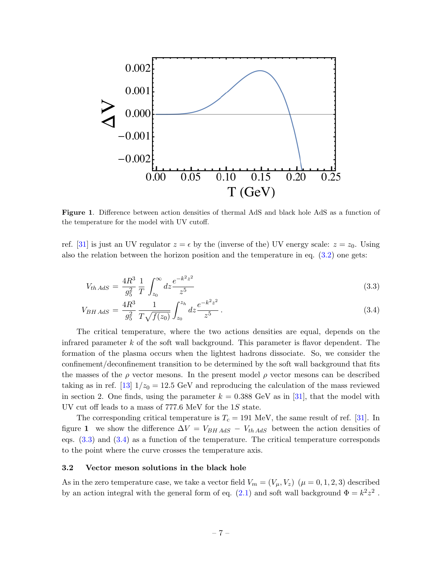

Figure 1. Difference between action densities of thermal AdS and black hole AdS as a function of the temperature for the model with UV cutoff.

ref. [\[31\]](#page-18-8) is just an UV regulator  $z = \epsilon$  by the (inverse of the) UV energy scale:  $z = z_0$ . Using also the relation between the horizon position and the temperature in eq. [\(3.2\)](#page-6-1) one gets:

$$
V_{th\,AdS} = \frac{4R^3}{g_5^2} \frac{1}{T} \int_{z_0}^{\infty} dz \frac{e^{-k^2 z^2}}{z^5}
$$
\n(3.3)

<span id="page-7-1"></span>
$$
V_{BH\,AdS} = \frac{4R^3}{g_5^2} \frac{1}{T\sqrt{f(z_0)}} \int_{z_0}^{z_h} dz \frac{e^{-k^2 z^2}}{z^5} \,. \tag{3.4}
$$

The critical temperature, where the two actions densities are equal, depends on the infrared parameter  $k$  of the soft wall background. This parameter is flavor dependent. The formation of the plasma occurs when the lightest hadrons dissociate. So, we consider the confinement/deconfinement transition to be determined by the soft wall background that fits the masses of the  $\rho$  vector mesons. In the present model  $\rho$  vector mesons can be described taking as in ref. [\[13\]](#page-17-11)  $1/z_0 = 12.5$  GeV and reproducing the calculation of the mass reviewed in section 2. One finds, using the parameter  $k = 0.388 \text{ GeV}$  as in [\[31\]](#page-18-8), that the model with UV cut off leads to a mass of 777.6 MeV for the 1S state.

The corresponding critical temperature is  $T_c = 191$  MeV, the same result of ref. [\[31\]](#page-18-8). In figure 1 we show the difference  $\Delta V = V_{BH AdS} - V_{th AdS}$  between the action densities of eqs. [\(3.3\)](#page-7-1) and [\(3.4\)](#page-7-1) as a function of the temperature. The critical temperature corresponds to the point where the curve crosses the temperature axis.

#### <span id="page-7-0"></span>3.2 Vector meson solutions in the black hole

As in the zero temperature case, we take a vector field  $V_m = (V_\mu, V_z)$   $(\mu = 0, 1, 2, 3)$  described by an action integral with the general form of eq.  $(2.1)$  and soft wall background  $\Phi = k^2 z^2$ .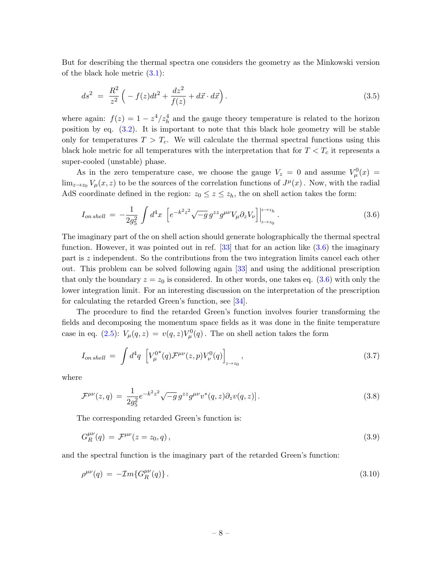But for describing the thermal spectra one considers the geometry as the Minkowski version of the black hole metric [\(3.1\)](#page-6-2):

$$
ds^2 = \frac{R^2}{z^2} \left( -f(z)dt^2 + \frac{dz^2}{f(z)} + d\vec{x} \cdot d\vec{x} \right). \tag{3.5}
$$

where again:  $f(z) = 1 - z^4/z_h^4$  and the gauge theory temperature is related to the horizon position by eq. [\(3.2\)](#page-6-1). It is important to note that this black hole geometry will be stable only for temperatures  $T > T_c$ . We will calculate the thermal spectral functions using this black hole metric for all temperatures with the interpretation that for  $T < T_c$  it represents a super-cooled (unstable) phase.

As in the zero temperature case, we choose the gauge  $V_z = 0$  and assume  $V^0_\mu(x) =$  $\lim_{z\to z_0} V_\mu(x,z)$  to be the sources of the correlation functions of  $J^\mu(x)$ . Now, with the radial AdS coordinate defined in the region:  $z_0 \leq z \leq z_h$ , the on shell action takes the form:

<span id="page-8-0"></span>
$$
I_{on\,shell} = -\frac{1}{2g_5^2} \int d^4x \left[ e^{-k^2 z^2} \sqrt{-g} \, g^{zz} g^{\mu\nu} V_{\mu} \partial_z V_{\nu} \right] \Big|_{z \to z_0}^{z \to z_h} . \tag{3.6}
$$

The imaginary part of the on shell action should generate holographically the thermal spectral function. However, it was pointed out in ref.  $[33]$  that for an action like  $(3.6)$  the imaginary part is z independent. So the contributions from the two integration limits cancel each other out. This problem can be solved following again [\[33\]](#page-18-10) and using the additional prescription that only the boundary  $z = z_0$  is considered. In other words, one takes eq. [\(3.6\)](#page-8-0) with only the lower integration limit. For an interesting discussion on the interpretation of the prescription for calculating the retarded Green's function, see [\[34\]](#page-18-11).

The procedure to find the retarded Green's function involves fourier transforming the fields and decomposing the momentum space fields as it was done in the finite temperature case in eq. [\(2.5\)](#page-4-0):  $V_{\mu}(q, z) = v(q, z)V_{\mu}^{0}(q)$ . The on shell action takes the form

$$
I_{on\, shell} \ = \ \int d^4q \ \left[ V_{\mu}^{0*}(q) \mathcal{F}^{\mu\nu}(z,p) V_{\nu}^0(q) \right]_{z \to z_0}, \tag{3.7}
$$

where

$$
\mathcal{F}^{\mu\nu}(z,q) = \frac{1}{2g_5^2} e^{-k^2 z^2} \sqrt{-g} g^{zz} g^{\mu\nu} v^*(q,z) \partial_z v(q,z) ]. \tag{3.8}
$$

The corresponding retarded Green's function is:

$$
G_R^{\mu\nu}(q) = \mathcal{F}^{\mu\nu}(z = z_0, q), \qquad (3.9)
$$

and the spectral function is the imaginary part of the retarded Green's function:

$$
\rho^{\mu\nu}(q) = -\mathcal{I}m\{G_R^{\mu\nu}(q)\} \,. \tag{3.10}
$$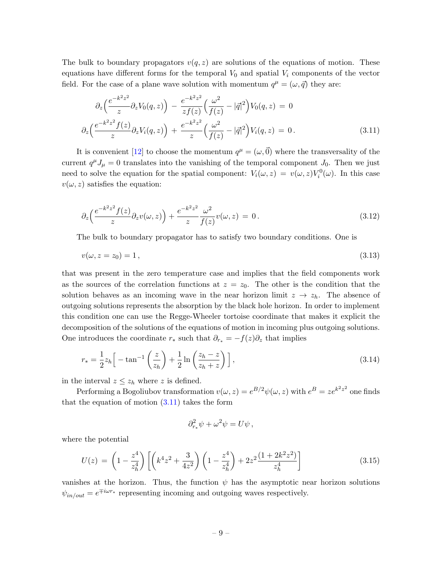The bulk to boundary propagators  $v(q, z)$  are solutions of the equations of motion. These equations have different forms for the temporal  $V_0$  and spatial  $V_i$  components of the vector field. For the case of a plane wave solution with momentum  $q^{\mu} = (\omega, \vec{q})$  they are:

<span id="page-9-0"></span>
$$
\partial_z \left( \frac{e^{-k^2 z^2}}{z} \partial_z V_0(q, z) \right) - \frac{e^{-k^2 z^2}}{z f(z)} \left( \frac{\omega^2}{f(z)} - |\vec{q}|^2 \right) V_0(q, z) = 0
$$
  

$$
\partial_z \left( \frac{e^{-k^2 z^2} f(z)}{z} \partial_z V_i(q, z) \right) + \frac{e^{-k^2 z^2}}{z} \left( \frac{\omega^2}{f(z)} - |\vec{q}|^2 \right) V_i(q, z) = 0.
$$
 (3.11)

It is convenient [\[12\]](#page-17-10) to choose the momentum  $q^{\mu} = (\omega, \vec{0})$  where the transversality of the current  $q^{\mu}J_{\mu} = 0$  translates into the vanishing of the temporal component  $J_0$ . Then we just need to solve the equation for the spatial component:  $V_i(\omega, z) = v(\omega, z)V_i^0(\omega)$ . In this case  $v(\omega, z)$  satisfies the equation:

<span id="page-9-1"></span>
$$
\partial_z \left( \frac{e^{-k^2 z^2} f(z)}{z} \partial_z v(\omega, z) \right) + \frac{e^{-k^2 z^2}}{z} \frac{\omega^2}{f(z)} v(\omega, z) = 0. \tag{3.12}
$$

The bulk to boundary propagator has to satisfy two boundary conditions. One is

$$
v(\omega, z = z_0) = 1, \tag{3.13}
$$

that was present in the zero temperature case and implies that the field components work as the sources of the correlation functions at  $z = z_0$ . The other is the condition that the solution behaves as an incoming wave in the near horizon limit  $z \to z_h$ . The absence of outgoing solutions represents the absorption by the black hole horizon. In order to implement this condition one can use the Regge-Wheeler tortoise coordinate that makes it explicit the decomposition of the solutions of the equations of motion in incoming plus outgoing solutions. One introduces the coordinate  $r_*$  such that  $\partial_{r_*} = -f(z)\partial_z$  that implies

$$
r_* = \frac{1}{2}z_h \Big[ -\tan^{-1}\left(\frac{z}{z_h}\right) + \frac{1}{2}\ln\left(\frac{z_h - z}{z_h + z}\right) \Big],\tag{3.14}
$$

in the interval  $z \leq z_h$  where z is defined.

Performing a Bogoliubov transformation  $v(\omega, z) = e^{B/2} \psi(\omega, z)$  with  $e^{B} = ze^{k^2 z^2}$  one finds that the equation of motion  $(3.11)$  takes the form

$$
\partial_{r_*}^2 \psi + \omega^2 \psi = U \psi \,,
$$

where the potential

$$
U(z) = \left(1 - \frac{z^4}{z_h^4}\right) \left[ \left(k^4 z^2 + \frac{3}{4z^2}\right) \left(1 - \frac{z^4}{z_h^4}\right) + 2z^2 \frac{(1 + 2k^2 z^2)}{z_h^4} \right] \tag{3.15}
$$

vanishes at the horizon. Thus, the function  $\psi$  has the asymptotic near horizon solutions  $\psi_{in/out} = e^{\mp i\omega r_*}$  representing incoming and outgoing waves respectively.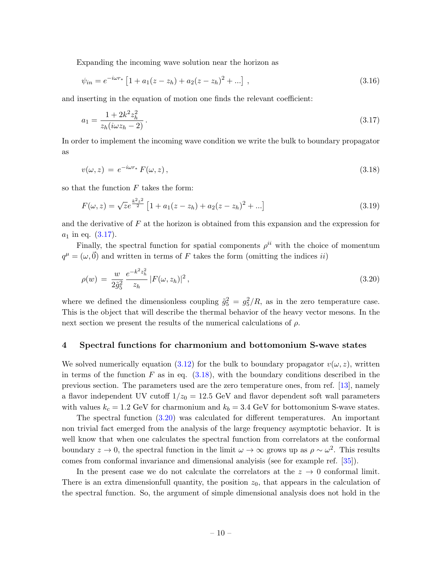Expanding the incoming wave solution near the horizon as

<span id="page-10-1"></span>
$$
\psi_{in} = e^{-i\omega r_*} \left[ 1 + a_1(z - z_h) + a_2(z - z_h)^2 + \dots \right], \tag{3.16}
$$

and inserting in the equation of motion one finds the relevant coefficient:

$$
a_1 = \frac{1 + 2k^2 z_h^2}{z_h(i\omega z_h - 2)}\,. \tag{3.17}
$$

<span id="page-10-2"></span>In order to implement the incoming wave condition we write the bulk to boundary propagator as

$$
v(\omega, z) = e^{-i\omega r_*} F(\omega, z), \qquad (3.18)
$$

so that the function  $F$  takes the form:

$$
F(\omega, z) = \sqrt{z}e^{\frac{k^2 z^2}{2}} \left[1 + a_1(z - z_h) + a_2(z - z_h)^2 + \ldots\right]
$$
\n(3.19)

and the derivative of  $F$  at the horizon is obtained from this expansion and the expression for  $a_1$  in eq.  $(3.17)$ .

Finally, the spectral function for spatial components  $\rho^{ii}$  with the choice of momentum  $q^{\mu} = (\omega, \vec{0})$  and written in terms of F takes the form (omitting the indices *ii*)

<span id="page-10-3"></span>
$$
\rho(w) = \frac{w}{2\tilde{g}_5^2} \frac{e^{-k^2 z_h^2}}{z_h} |F(\omega, z_h)|^2, \qquad (3.20)
$$

where we defined the dimensionless coupling  $\tilde{g}_5^2 = g_5^2/R$ , as in the zero temperature case. This is the object that will describe the thermal behavior of the heavy vector mesons. In the next section we present the results of the numerical calculations of  $\rho$ .

# <span id="page-10-0"></span>4 Spectral functions for charmonium and bottomonium S-wave states

We solved numerically equation [\(3.12\)](#page-9-1) for the bulk to boundary propagator  $v(\omega, z)$ , written in terms of the function F as in eq.  $(3.18)$ , with the boundary conditions described in the previous section. The parameters used are the zero temperature ones, from ref. [\[13\]](#page-17-11), namely a flavor independent UV cutoff  $1/z_0 = 12.5$  GeV and flavor dependent soft wall parameters with values  $k_c = 1.2$  GeV for charmonium and  $k_b = 3.4$  GeV for bottomonium S-wave states.

The spectral function [\(3.20\)](#page-10-3) was calculated for different temperatures. An important non trivial fact emerged from the analysis of the large frequency asymptotic behavior. It is well know that when one calculates the spectral function from correlators at the conformal boundary  $z \to 0$ , the spectral function in the limit  $\omega \to \infty$  grows up as  $\rho \sim \omega^2$ . This results comes from conformal invariance and dimensional analyisis (see for example ref. [\[35\]](#page-18-12)).

In the present case we do not calculate the correlators at the  $z \to 0$  conformal limit. There is an extra dimensionfull quantity, the position  $z_0$ , that appears in the calculation of the spectral function. So, the argument of simple dimensional analysis does not hold in the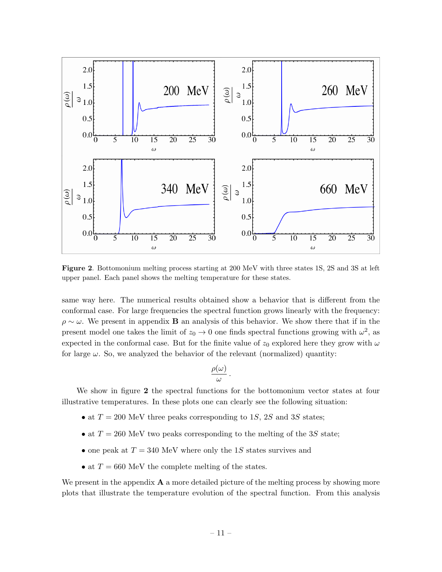

Figure 2. Bottomonium melting process starting at 200 MeV with three states 1S, 2S and 3S at left upper panel. Each panel shows the melting temperature for these states.

same way here. The numerical results obtained show a behavior that is different from the conformal case. For large frequencies the spectral function grows linearly with the frequency:  $\rho \sim \omega$ . We present in appendix **B** an analysis of this behavior. We show there that if in the present model one takes the limit of  $z_0 \to 0$  one finds spectral functions growing with  $\omega^2$ , as expected in the conformal case. But for the finite value of  $z_0$  explored here they grow with  $\omega$ for large  $\omega$ . So, we analyzed the behavior of the relevant (normalized) quantity:

$$
\frac{\rho(\omega)}{\omega}
$$

.

We show in figure 2 the spectral functions for the bottomonium vector states at four illustrative temperatures. In these plots one can clearly see the following situation:

- at  $T = 200$  MeV three peaks corresponding to 1S, 2S and 3S states;
- at  $T = 260$  MeV two peaks corresponding to the melting of the 3S state;
- one peak at  $T = 340$  MeV where only the 1S states survives and
- at  $T = 660$  MeV the complete melting of the states.

We present in the appendix  $\bf{A}$  a more detailed picture of the melting process by showing more plots that illustrate the temperature evolution of the spectral function. From this analysis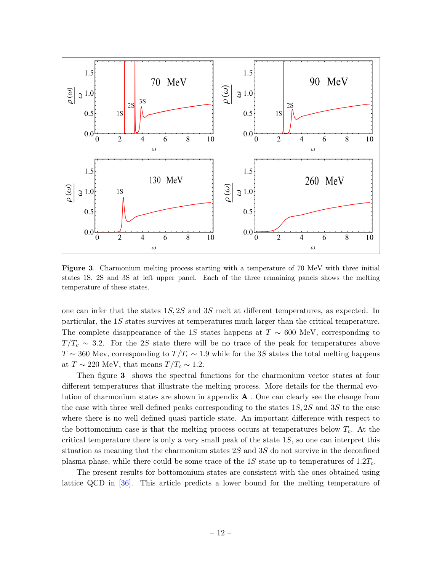

Figure 3. Charmonium melting process starting with a temperature of 70 MeV with three initial states 1S, 2S and 3S at left upper panel. Each of the three remaining panels shows the melting temperature of these states.

one can infer that the states 1S, 2S and 3S melt at different temperatures, as expected. In particular, the 1S states survives at temperatures much larger than the critical temperature. The complete disappearance of the 1S states happens at  $T \sim 600$  MeV, corresponding to  $T/T_c \sim 3.2$ . For the 2S state there will be no trace of the peak for temperatures above  $T \sim 360$  Mev, corresponding to  $T/T_c \sim 1.9$  while for the 3S states the total melting happens at  $T \sim 220$  MeV, that means  $T/T_c \sim 1.2$ .

Then figure 3 shows the spectral functions for the charmonium vector states at four different temperatures that illustrate the melting process. More details for the thermal evolution of charmonium states are shown in appendix A . One can clearly see the change from the case with three well defined peaks corresponding to the states  $1S$ ,  $2S$  and  $3S$  to the case where there is no well defined quasi particle state. An important difference with respect to the bottomonium case is that the melting process occurs at temperatures below  $T_c$ . At the critical temperature there is only a very small peak of the state  $1S$ , so one can interpret this situation as meaning that the charmonium states 2S and 3S do not survive in the deconfined plasma phase, while there could be some trace of the 1S state up to temperatures of  $1.2T_c$ .

The present results for bottomonium states are consistent with the ones obtained using lattice QCD in [\[36\]](#page-18-13). This article predicts a lower bound for the melting temperature of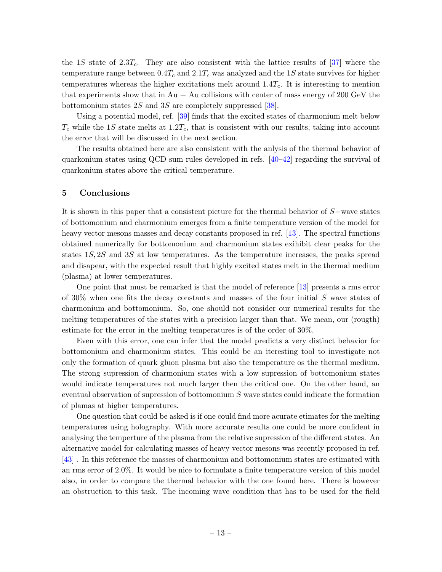the 1S state of 2.3T<sub>c</sub>. They are also consistent with the lattice results of [\[37\]](#page-18-14) where the temperature range between  $0.4T_c$  and  $2.1T_c$  was analyzed and the 1S state survives for higher temperatures whereas the higher excitations melt around  $1.4T_c$ . It is interesting to mention that experiments show that in  $Au + Au$  collisions with center of mass energy of 200 GeV the bottomonium states 2S and 3S are completely suppressed [\[38\]](#page-18-15).

Using a potential model, ref. [\[39\]](#page-19-0) finds that the excited states of charmonium melt below  $T_c$  while the 1S state melts at 1.2 $T_c$ , that is consistent with our results, taking into account the error that will be discussed in the next section.

The results obtained here are also consistent with the anlysis of the thermal behavior of quarkonium states using QCD sum rules developed in refs. [\[40–](#page-19-1)[42\]](#page-19-2) regarding the survival of quarkonium states above the critical temperature.

### <span id="page-13-0"></span>5 Conclusions

It is shown in this paper that a consistent picture for the thermal behavior of S−wave states of bottomonium and charmonium emerges from a finite temperature version of the model for heavy vector mesons masses and decay constants proposed in ref. [\[13\]](#page-17-11). The spectral functions obtained numerically for bottomonium and charmonium states exihibit clear peaks for the states 1S, 2S and 3S at low temperatures. As the temperature increases, the peaks spread and disapear, with the expected result that highly excited states melt in the thermal medium (plasma) at lower temperatures.

One point that must be remarked is that the model of reference [\[13\]](#page-17-11) presents a rms error of  $30\%$  when one fits the decay constants and masses of the four initial S wave states of charmonium and bottomonium. So, one should not consider our numerical results for the melting temperatures of the states with a precision larger than that. We mean, our (rougth) estimate for the error in the melting temperatures is of the order of 30%.

Even with this error, one can infer that the model predicts a very distinct behavior for bottomonium and charmonium states. This could be an iteresting tool to investigate not only the formation of quark gluon plasma but also the temperature os the thermal medium. The strong supression of charmonium states with a low supression of bottomonium states would indicate temperatures not much larger then the critical one. On the other hand, an eventual observation of supression of bottomonium S wave states could indicate the formation of plamas at higher temperatures.

One question that could be asked is if one could find more acurate etimates for the melting temperatures using holography. With more accurate results one could be more confident in analysing the temperture of the plasma from the relative supression of the different states. An alternative model for calculating masses of heavy vector mesons was recently proposed in ref. [\[43\]](#page-19-3) . In this reference the masses of charmonium and bottomonium states are estimated with an rms error of 2.0%. It would be nice to formulate a finite temperature version of this model also, in order to compare the thermal behavior with the one found here. There is however an obstruction to this task. The incoming wave condition that has to be used for the field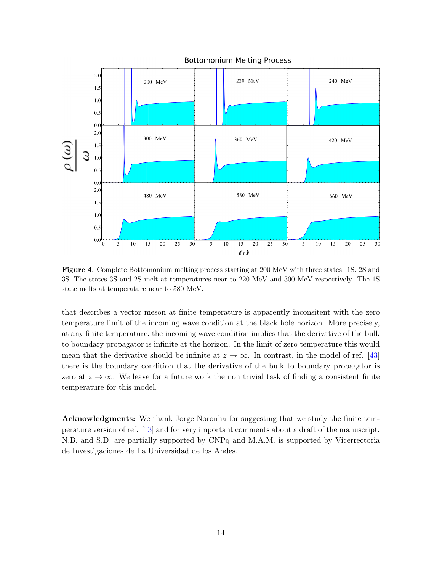

Figure 4. Complete Bottomonium melting process starting at 200 MeV with three states: 1S, 2S and 3S. The states 3S and 2S melt at temperatures near to 220 MeV and 300 MeV respectively. The 1S state melts at temperature near to 580 MeV.

that describes a vector meson at finite temperature is apparently inconsitent with the zero temperature limit of the incoming wave condition at the black hole horizon. More precisely, at any finite temperature, the incoming wave condition implies that the derivative of the bulk to boundary propagator is infinite at the horizon. In the limit of zero temperature this would mean that the derivative should be infinite at  $z \to \infty$ . In contrast, in the model of ref. [\[43\]](#page-19-3) there is the boundary condition that the derivative of the bulk to boundary propagator is zero at  $z \to \infty$ . We leave for a future work the non trivial task of finding a consistent finite temperature for this model.

Acknowledgments: We thank Jorge Noronha for suggesting that we study the finite temperature version of ref. [\[13\]](#page-17-11) and for very important comments about a draft of the manuscript. N.B. and S.D. are partially supported by CNPq and M.A.M. is supported by Vicerrectoria de Investigaciones de La Universidad de los Andes.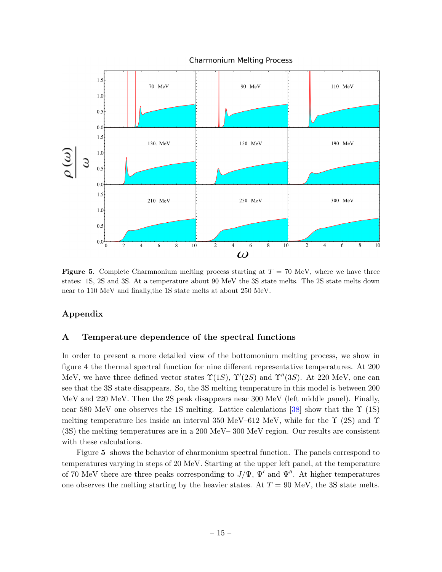

**Figure 5.** Complete Charmnonium melting process starting at  $T = 70$  MeV, where we have three states: 1S, 2S and 3S. At a temperature about 90 MeV the 3S state melts. The 2S state melts down near to 110 MeV and finally,the 1S state melts at about 250 MeV.

# Appendix

# <span id="page-15-0"></span>A Temperature dependence of the spectral functions

In order to present a more detailed view of the bottomonium melting process, we show in figure 4 the thermal spectral function for nine different representative temperatures. At 200 MeV, we have three defined vector states  $\Upsilon(1S)$ ,  $\Upsilon'(2S)$  and  $\Upsilon''(3S)$ . At 220 MeV, one can see that the 3S state disappears. So, the 3S melting temperature in this model is between 200 MeV and 220 MeV. Then the 2S peak disappears near 300 MeV (left middle panel). Finally, near 580 MeV one observes the 1S melting. Lattice calculations [\[38\]](#page-18-15) show that the  $\Upsilon$  (1S) melting temperature lies inside an interval 350 MeV–612 MeV, while for the  $\Upsilon$  (2S) and  $\Upsilon$ (3S) the melting temperatures are in a 200 MeV– 300 MeV region. Our results are consistent with these calculations.

Figure 5 shows the behavior of charmonium spectral function. The panels correspond to temperatures varying in steps of 20 MeV. Starting at the upper left panel, at the temperature of 70 MeV there are three peaks corresponding to  $J/\Psi$ ,  $\Psi'$  and  $\Psi''$ . At higher temperatures one observes the melting starting by the heavier states. At  $T = 90$  MeV, the 3S state melts.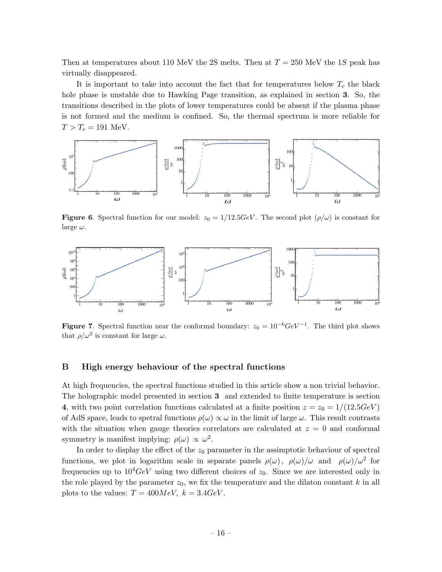Then at temperatures about 110 MeV the 2S melts. Then at  $T = 250$  MeV the 1S peak has virtually disappeared.

It is important to take into account the fact that for temperatures below  $T_c$  the black hole phase is unstable due to Hawking Page transition, as explained in section 3. So, the transitions described in the plots of lower temperatures could be absent if the plasma phase is not formed and the medium is confined. So, the thermal spectrum is more reliable for  $T > T_c = 191$  MeV.



**Figure 6.** Spectral function for our model:  $z_0 = 1/12.5$  GeV. The second plot  $(\rho/\omega)$  is constant for large  $\omega$ .



**Figure 7.** Spectral function near the conformal boundary:  $z_0 = 10^{-6} \text{GeV}^{-1}$ . The third plot shows that  $\rho/\omega^2$  is constant for large  $\omega$ .

## <span id="page-16-0"></span>B High energy behaviour of the spectral functions

At high frequencies, the spectral functions studied in this article show a non trivial behavior. The holographic model presented in section 3 and extended to finite temperature is section 4, with two point correlation functions calculated at a finite position  $z = z_0 = 1/(12.5GeV)$ of AdS space, leads to spetral functions  $\rho(\omega) \propto \omega$  in the limit of large  $\omega$ . This result contrasts with the situation when gauge theories correlators are calculated at  $z = 0$  and conformal symmetry is manifest implying:  $\rho(\omega) \propto \omega^2$ .

In order to display the effect of the  $z_0$  parameter in the assimptotic behaviour of spectral functions, we plot in logarithm scale in separate panels  $\rho(\omega)$ ,  $\rho(\omega)/\omega$  and  $\rho(\omega)/\omega^2$  for frequencies up to  $10^4 GeV$  using two different choices of  $z_0$ . Since we are interested only in the role played by the parameter  $z_0$ , we fix the temperature and the dilaton constant k in all plots to the values:  $T = 400MeV$ ,  $k = 3.4GeV$ .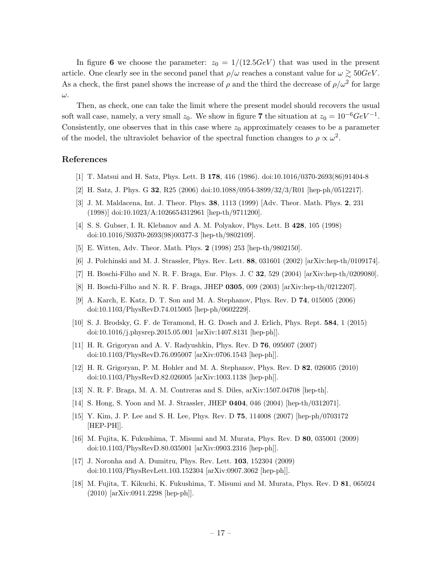In figure 6 we choose the parameter:  $z_0 = 1/(12.5GeV)$  that was used in the present article. One clearly see in the second panel that  $\rho/\omega$  reaches a constant value for  $\omega \gtrsim 50 GeV$ . As a check, the first panel shows the increase of  $\rho$  and the third the decrease of  $\rho/\omega^2$  for large ω.

Then, as check, one can take the limit where the present model should recovers the usual soft wall case, namely, a very small  $z_0$ . We show in figure 7 the situation at  $z_0 = 10^{-6} GeV^{-1}$ . Consistently, one observes that in this case where  $z_0$  approximately ceases to be a parameter of the model, the ultraviolet behavior of the spectral function changes to  $\rho \propto \omega^2$ .

### References

- <span id="page-17-0"></span>[1] T. Matsui and H. Satz, Phys. Lett. B 178, 416 (1986). doi:10.1016/0370-2693(86)91404-8
- <span id="page-17-1"></span>[2] H. Satz, J. Phys. G 32, R25 (2006) doi:10.1088/0954-3899/32/3/R01 [hep-ph/0512217].
- <span id="page-17-2"></span>[3] J. M. Maldacena, Int. J. Theor. Phys. 38, 1113 (1999) [Adv. Theor. Math. Phys. 2, 231 (1998)] doi:10.1023/A:1026654312961 [hep-th/9711200].
- [4] S. S. Gubser, I. R. Klebanov and A. M. Polyakov, Phys. Lett. B 428, 105 (1998) doi:10.1016/S0370-2693(98)00377-3 [hep-th/9802109].
- <span id="page-17-3"></span>[5] E. Witten, Adv. Theor. Math. Phys. 2 (1998) 253 [hep-th/9802150].
- <span id="page-17-4"></span>[6] J. Polchinski and M. J. Strassler, Phys. Rev. Lett. 88, 031601 (2002) [arXiv:hep-th/0109174].
- <span id="page-17-6"></span>[7] H. Boschi-Filho and N. R. F. Braga, Eur. Phys. J. C 32, 529 (2004) [arXiv:hep-th/0209080].
- <span id="page-17-5"></span>[8] H. Boschi-Filho and N. R. F. Braga, JHEP 0305, 009 (2003) [arXiv:hep-th/0212207].
- <span id="page-17-7"></span>[9] A. Karch, E. Katz, D. T. Son and M. A. Stephanov, Phys. Rev. D 74, 015005 (2006) doi:10.1103/PhysRevD.74.015005 [hep-ph/0602229].
- <span id="page-17-8"></span>[10] S. J. Brodsky, G. F. de Teramond, H. G. Dosch and J. Erlich, Phys. Rept. 584, 1 (2015) doi:10.1016/j.physrep.2015.05.001 [arXiv:1407.8131 [hep-ph]].
- <span id="page-17-9"></span>[11] H. R. Grigoryan and A. V. Radyushkin, Phys. Rev. D 76, 095007 (2007) doi:10.1103/PhysRevD.76.095007 [arXiv:0706.1543 [hep-ph]].
- <span id="page-17-10"></span>[12] H. R. Grigoryan, P. M. Hohler and M. A. Stephanov, Phys. Rev. D 82, 026005 (2010) doi:10.1103/PhysRevD.82.026005 [arXiv:1003.1138 [hep-ph]].
- <span id="page-17-11"></span>[13] N. R. F. Braga, M. A. M. Contreras and S. Diles, arXiv:1507.04708 [hep-th].
- <span id="page-17-12"></span>[14] S. Hong, S. Yoon and M. J. Strassler, JHEP 0404, 046 (2004) [hep-th/0312071].
- [15] Y. Kim, J. P. Lee and S. H. Lee, Phys. Rev. D 75, 114008 (2007) [hep-ph/0703172 [HEP-PH]].
- <span id="page-17-13"></span>[16] M. Fujita, K. Fukushima, T. Misumi and M. Murata, Phys. Rev. D 80, 035001 (2009) doi:10.1103/PhysRevD.80.035001 [arXiv:0903.2316 [hep-ph]].
- [17] J. Noronha and A. Dumitru, Phys. Rev. Lett. 103, 152304 (2009) doi:10.1103/PhysRevLett.103.152304 [arXiv:0907.3062 [hep-ph]].
- <span id="page-17-14"></span>[18] M. Fujita, T. Kikuchi, K. Fukushima, T. Misumi and M. Murata, Phys. Rev. D 81, 065024 (2010) [arXiv:0911.2298 [hep-ph]].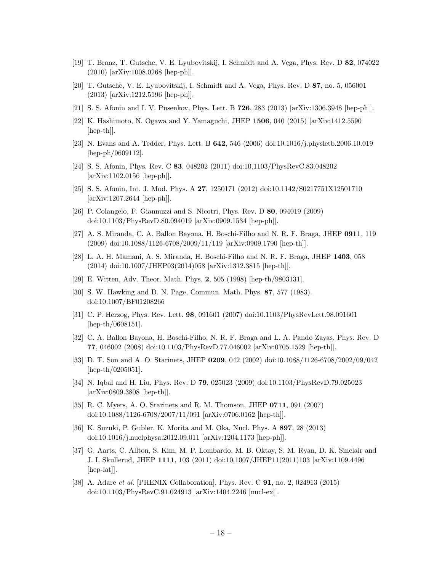- [19] T. Branz, T. Gutsche, V. E. Lyubovitskij, I. Schmidt and A. Vega, Phys. Rev. D 82, 074022 (2010) [arXiv:1008.0268 [hep-ph]].
- [20] T. Gutsche, V. E. Lyubovitskij, I. Schmidt and A. Vega, Phys. Rev. D 87, no. 5, 056001 (2013) [arXiv:1212.5196 [hep-ph]].
- [21] S. S. Afonin and I. V. Pusenkov, Phys. Lett. B **726**, 283 (2013) [arXiv:1306.3948 [hep-ph]].
- <span id="page-18-0"></span>[22] K. Hashimoto, N. Ogawa and Y. Yamaguchi, JHEP 1506, 040 (2015) [arXiv:1412.5590 [hep-th]].
- <span id="page-18-1"></span>[23] N. Evans and A. Tedder, Phys. Lett. B 642, 546 (2006) doi:10.1016/j.physletb.2006.10.019 [hep-ph/0609112].
- <span id="page-18-2"></span>[24] S. S. Afonin, Phys. Rev. C 83, 048202 (2011) doi:10.1103/PhysRevC.83.048202 [arXiv:1102.0156 [hep-ph]].
- <span id="page-18-3"></span>[25] S. S. Afonin, Int. J. Mod. Phys. A 27, 1250171 (2012) doi:10.1142/S0217751X12501710 [arXiv:1207.2644 [hep-ph]].
- <span id="page-18-4"></span>[26] P. Colangelo, F. Giannuzzi and S. Nicotri, Phys. Rev. D 80, 094019 (2009) doi:10.1103/PhysRevD.80.094019 [arXiv:0909.1534 [hep-ph]].
- [27] A. S. Miranda, C. A. Ballon Bayona, H. Boschi-Filho and N. R. F. Braga, JHEP 0911, 119  $(2009)$  doi:10.1088/1126-6708/2009/11/119 [arXiv:0909.1790 [hep-th]].
- <span id="page-18-5"></span>[28] L. A. H. Mamani, A. S. Miranda, H. Boschi-Filho and N. R. F. Braga, JHEP 1403, 058 (2014) doi:10.1007/JHEP03(2014)058 [arXiv:1312.3815 [hep-th]].
- <span id="page-18-6"></span>[29] E. Witten, Adv. Theor. Math. Phys. 2, 505 (1998) [hep-th/9803131].
- <span id="page-18-7"></span>[30] S. W. Hawking and D. N. Page, Commun. Math. Phys. 87, 577 (1983). doi:10.1007/BF01208266
- <span id="page-18-8"></span>[31] C. P. Herzog, Phys. Rev. Lett. 98, 091601 (2007) doi:10.1103/PhysRevLett.98.091601 [hep-th/0608151].
- <span id="page-18-9"></span>[32] C. A. Ballon Bayona, H. Boschi-Filho, N. R. F. Braga and L. A. Pando Zayas, Phys. Rev. D 77, 046002 (2008) doi:10.1103/PhysRevD.77.046002 [arXiv:0705.1529 [hep-th]].
- <span id="page-18-10"></span>[33] D. T. Son and A. O. Starinets, JHEP 0209, 042 (2002) doi:10.1088/1126-6708/2002/09/042 [hep-th/0205051].
- <span id="page-18-11"></span>[34] N. Iqbal and H. Liu, Phys. Rev. D 79, 025023 (2009) doi:10.1103/PhysRevD.79.025023 [arXiv:0809.3808 [hep-th]].
- <span id="page-18-12"></span>[35] R. C. Myers, A. O. Starinets and R. M. Thomson, JHEP 0711, 091 (2007) doi:10.1088/1126-6708/2007/11/091 [arXiv:0706.0162 [hep-th]].
- <span id="page-18-13"></span>[36] K. Suzuki, P. Gubler, K. Morita and M. Oka, Nucl. Phys. A 897, 28 (2013) doi:10.1016/j.nuclphysa.2012.09.011 [arXiv:1204.1173 [hep-ph]].
- <span id="page-18-14"></span>[37] G. Aarts, C. Allton, S. Kim, M. P. Lombardo, M. B. Oktay, S. M. Ryan, D. K. Sinclair and J. I. Skullerud, JHEP 1111, 103 (2011) doi:10.1007/JHEP11(2011)103 [arXiv:1109.4496 [hep-lat].
- <span id="page-18-15"></span>[38] A. Adare et al. [PHENIX Collaboration], Phys. Rev. C **91**, no. 2, 024913 (2015) doi:10.1103/PhysRevC.91.024913 [arXiv:1404.2246 [nucl-ex]].